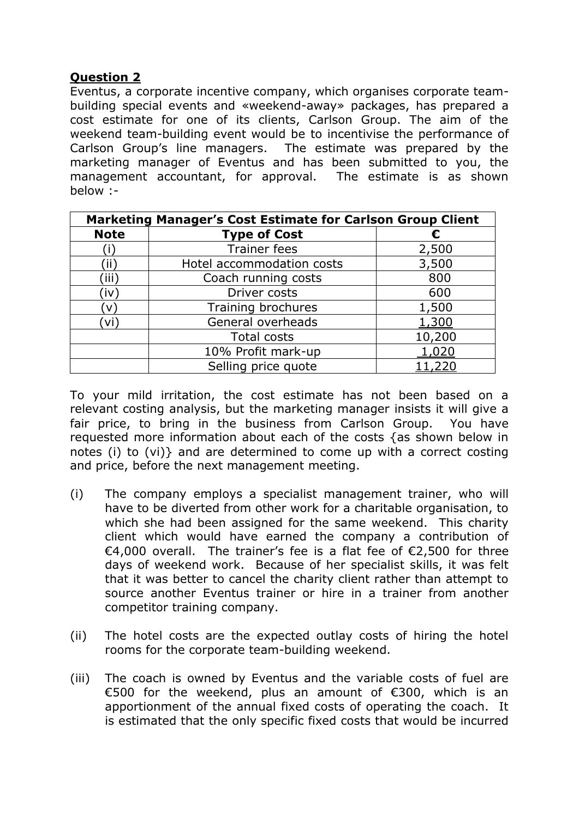## **Question 2**

Eventus, a corporate incentive company, which organises corporate teambuilding special events and «weekend-away» packages, has prepared a cost estimate for one of its clients, Carlson Group. The aim of the weekend team-building event would be to incentivise the performance of Carlson Group's line managers. The estimate was prepared by the marketing manager of Eventus and has been submitted to you, the management accountant, for approval. The estimate is as shown below :-

| <b>Marketing Manager's Cost Estimate for Carlson Group Client</b> |                           |        |
|-------------------------------------------------------------------|---------------------------|--------|
| <b>Note</b>                                                       | <b>Type of Cost</b>       | €      |
|                                                                   | <b>Trainer fees</b>       | 2,500  |
| ΄ii                                                               | Hotel accommodation costs | 3,500  |
| ΄iii                                                              | Coach running costs       | 800    |
| (iv)                                                              | Driver costs              | 600    |
| 'v`                                                               | Training brochures        | 1,500  |
| (vi                                                               | General overheads         | 1,300  |
|                                                                   | Total costs               | 10,200 |
|                                                                   | 10% Profit mark-up        | 1,020  |
|                                                                   | Selling price quote       | 11,220 |

To your mild irritation, the cost estimate has not been based on a relevant costing analysis, but the marketing manager insists it will give a fair price, to bring in the business from Carlson Group. You have requested more information about each of the costs {as shown below in notes (i) to (vi)} and are determined to come up with a correct costing and price, before the next management meeting.

- (i) The company employs a specialist management trainer, who will have to be diverted from other work for a charitable organisation, to which she had been assigned for the same weekend. This charity client which would have earned the company a contribution of €4,000 overall. The trainer's fee is a flat fee of  $€2,500$  for three days of weekend work. Because of her specialist skills, it was felt that it was better to cancel the charity client rather than attempt to source another Eventus trainer or hire in a trainer from another competitor training company.
- (ii) The hotel costs are the expected outlay costs of hiring the hotel rooms for the corporate team-building weekend.
- (iii) The coach is owned by Eventus and the variable costs of fuel are €500 for the weekend, plus an amount of €300, which is an apportionment of the annual fixed costs of operating the coach. It is estimated that the only specific fixed costs that would be incurred